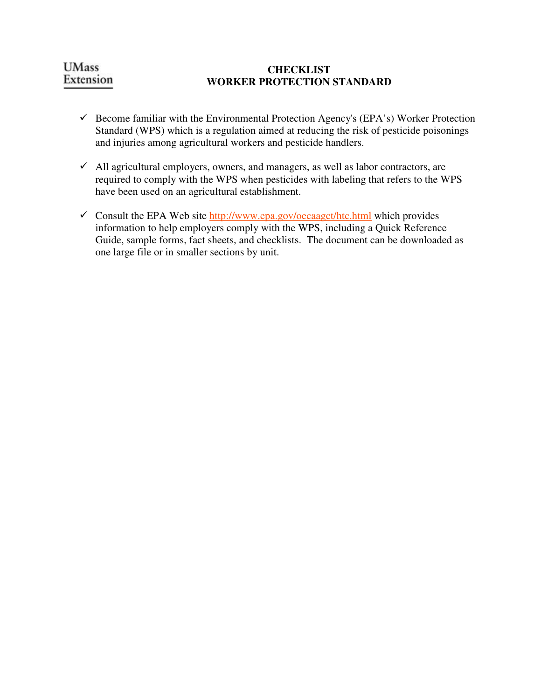# **UMass** Extension

## **CHECKLIST WORKER PROTECTION STANDARD**

- $\checkmark$  Become familiar with the Environmental Protection Agency's (EPA's) Worker Protection Standard (WPS) which is a regulation aimed at reducing the risk of pesticide poisonings and injuries among agricultural workers and pesticide handlers.
- $\checkmark$  All agricultural employers, owners, and managers, as well as labor contractors, are required to comply with the WPS when pesticides with labeling that refers to the WPS have been used on an agricultural establishment.
- $\checkmark$  Consult the EPA Web site http://www.epa.gov/oecaagct/htc.html which provides information to help employers comply with the WPS, including a Quick Reference Guide, sample forms, fact sheets, and checklists. The document can be downloaded as one large file or in smaller sections by unit.